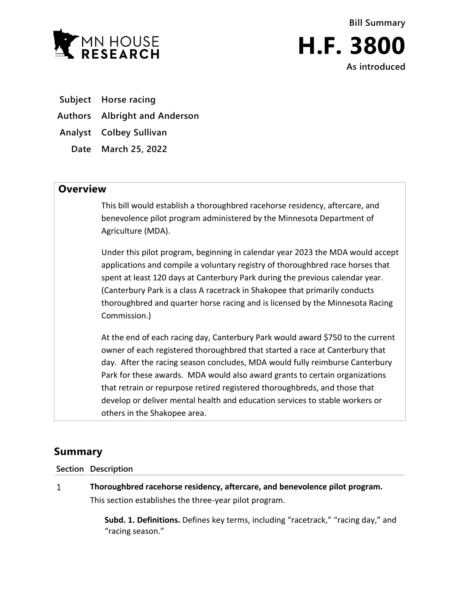

**Bill Summary H.F. 3800 As introduced**

**Subject Horse racing**

**Authors Albright and Anderson**

**Analyst Colbey Sullivan**

**Date March 25, 2022**

## **Overview**

This bill would establish a thoroughbred racehorse residency, aftercare, and benevolence pilot program administered by the Minnesota Department of Agriculture (MDA).

Under this pilot program, beginning in calendar year 2023 the MDA would accept applications and compile a voluntary registry of thoroughbred race horses that spent at least 120 days at Canterbury Park during the previous calendar year. (Canterbury Park is a class A racetrack in Shakopee that primarily conducts thoroughbred and quarter horse racing and is licensed by the Minnesota Racing Commission.)

At the end of each racing day, Canterbury Park would award \$750 to the current owner of each registered thoroughbred that started a race at Canterbury that day. After the racing season concludes, MDA would fully reimburse Canterbury Park for these awards. MDA would also award grants to certain organizations that retrain or repurpose retired registered thoroughbreds, and those that develop or deliver mental health and education services to stable workers or others in the Shakopee area.

## **Summary**

**Section Description**

 $\mathbf{1}$ **Thoroughbred racehorse residency, aftercare, and benevolence pilot program.** This section establishes the three-year pilot program.

> **Subd. 1. Definitions.** Defines key terms, including "racetrack," "racing day," and "racing season."